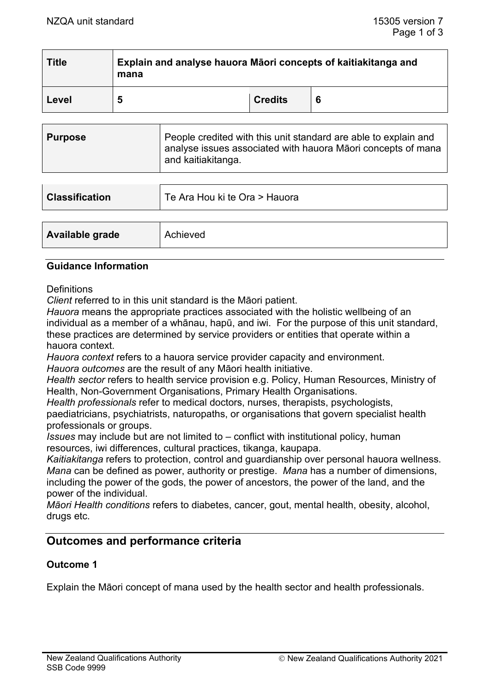| <b>Title</b> | Explain and analyse hauora Māori concepts of kaitiakitanga and<br>mana |                |  |  |
|--------------|------------------------------------------------------------------------|----------------|--|--|
| Level        | 5                                                                      | <b>Credits</b> |  |  |

| People credited with this unit standard are able to explain and<br><b>Purpose</b><br>analyse issues associated with hauora Māori concepts of mana<br><sup>∣</sup> and kaitiakitanga. |  |
|--------------------------------------------------------------------------------------------------------------------------------------------------------------------------------------|--|
|--------------------------------------------------------------------------------------------------------------------------------------------------------------------------------------|--|

| <b>Classification</b> | Te Ara Hou ki te Ora > Hauora |
|-----------------------|-------------------------------|
|                       |                               |
| Available grade       | Achieved                      |

#### **Guidance Information**

**Definitions** 

*Client* referred to in this unit standard is the Māori patient.

*Hauora* means the appropriate practices associated with the holistic wellbeing of an individual as a member of a whānau, hapū, and iwi. For the purpose of this unit standard, these practices are determined by service providers or entities that operate within a hauora context.

*Hauora context* refers to a hauora service provider capacity and environment.

*Hauora outcomes* are the result of any Māori health initiative.

*Health sector* refers to health service provision e.g. Policy, Human Resources, Ministry of Health, Non-Government Organisations, Primary Health Organisations.

*Health professionals* refer to medical doctors, nurses, therapists, psychologists,

paediatricians, psychiatrists, naturopaths, or organisations that govern specialist health professionals or groups.

*Issues* may include but are not limited to – conflict with institutional policy, human resources, iwi differences, cultural practices, tikanga, kaupapa.

*Kaitiakitanga* refers to protection, control and guardianship over personal hauora wellness. *Mana* can be defined as power, authority or prestige. *Mana* has a number of dimensions, including the power of the gods, the power of ancestors, the power of the land, and the power of the individual.

*Māori Health conditions* refers to diabetes, cancer, gout, mental health, obesity, alcohol, drugs etc.

# **Outcomes and performance criteria**

# **Outcome 1**

Explain the Māori concept of mana used by the health sector and health professionals.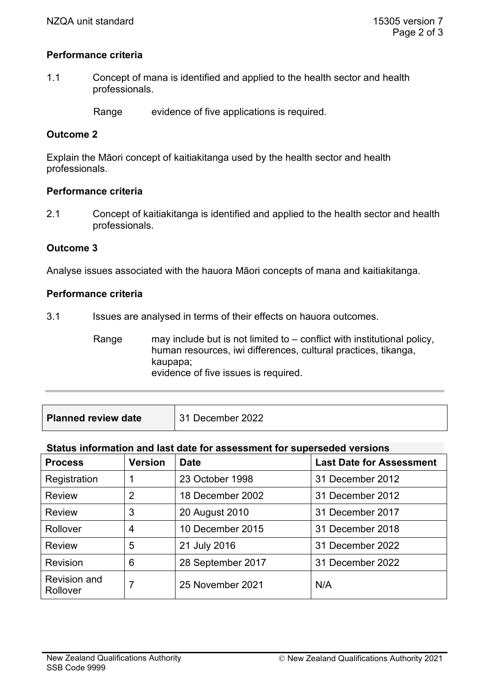#### **Performance criteria**

1.1 Concept of mana is identified and applied to the health sector and health professionals.

Range evidence of five applications is required.

# **Outcome 2**

Explain the Māori concept of kaitiakitanga used by the health sector and health professionals.

#### **Performance criteria**

2.1 Concept of kaitiakitanga is identified and applied to the health sector and health professionals.

# **Outcome 3**

Analyse issues associated with the hauora Māori concepts of mana and kaitiakitanga.

#### **Performance criteria**

3.1 Issues are analysed in terms of their effects on hauora outcomes.

Range may include but is not limited to  $-$  conflict with institutional policy, human resources, iwi differences, cultural practices, tikanga, kaupapa; evidence of five issues is required.

#### **Status information and last date for assessment for superseded versions**

| <b>Process</b>                  | <b>Version</b> | <b>Date</b>       | <b>Last Date for Assessment</b> |
|---------------------------------|----------------|-------------------|---------------------------------|
| Registration                    |                | 23 October 1998   | 31 December 2012                |
| <b>Review</b>                   | $\overline{2}$ | 18 December 2002  | 31 December 2012                |
| <b>Review</b>                   | 3              | 20 August 2010    | 31 December 2017                |
| Rollover                        | 4              | 10 December 2015  | 31 December 2018                |
| <b>Review</b>                   | 5              | 21 July 2016      | 31 December 2022                |
| <b>Revision</b>                 | 6              | 28 September 2017 | 31 December 2022                |
| <b>Revision and</b><br>Rollover | 7              | 25 November 2021  | N/A                             |